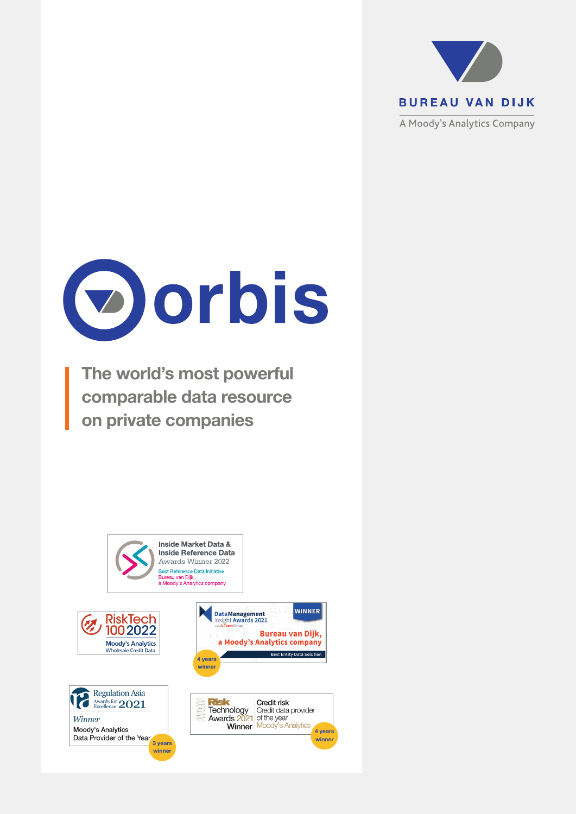



The world's most powerful comparable data resource on private companies

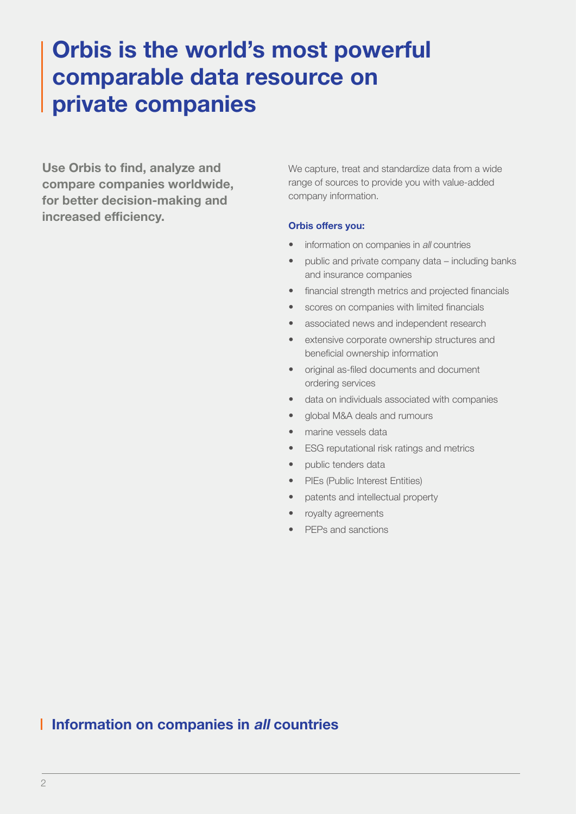# Orbis is the world's most powerful comparable data resource on private companies

Use Orbis to find, analyze and compare companies worldwide, for better decision-making and increased efficiency.

We capture, treat and standardize data from a wide range of sources to provide you with value-added company information.

#### Orbis offers you:

- information on companies in all countries
- public and private company data including banks and insurance companies
- financial strength metrics and projected financials
- scores on companies with limited financials
- associated news and independent research
- extensive corporate ownership structures and beneficial ownership information
- original as-filed documents and document ordering services
- data on individuals associated with companies
- global M&A deals and rumours
- marine vessels data
- ESG reputational risk ratings and metrics
- public tenders data
- PIEs (Public Interest Entities)
- patents and intellectual property
- royalty agreements
- PEPs and sanctions

# **I Information on companies in all countries**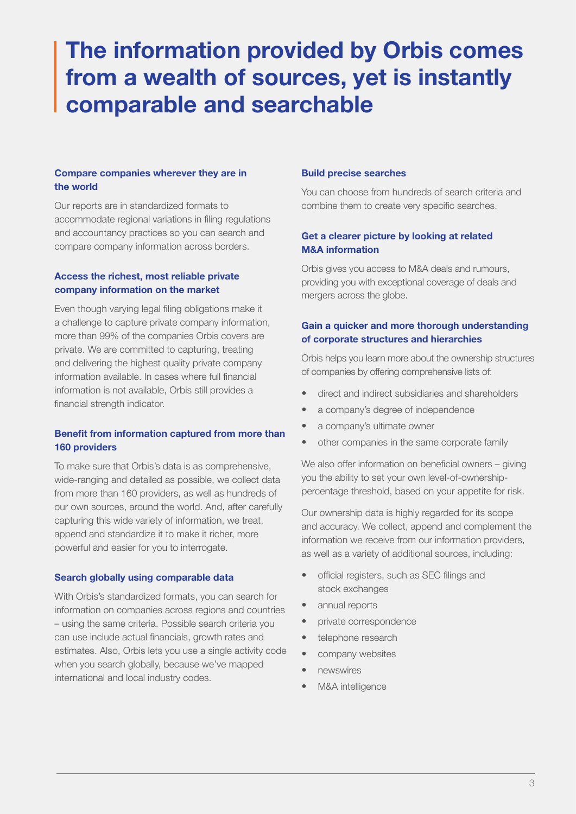# The information provided by Orbis comes from a wealth of sources, yet is instantly comparable and searchable

## Compare companies wherever they are in the world

Our reports are in standardized formats to accommodate regional variations in filing regulations and accountancy practices so you can search and compare company information across borders.

## Access the richest, most reliable private company information on the market

Even though varying legal filing obligations make it a challenge to capture private company information, more than 99% of the companies Orbis covers are private. We are committed to capturing, treating and delivering the highest quality private company information available. In cases where full financial information is not available, Orbis still provides a financial strength indicator.

# Benefit from information captured from more than 160 providers

To make sure that Orbis's data is as comprehensive, wide-ranging and detailed as possible, we collect data from more than 160 providers, as well as hundreds of our own sources, around the world. And, after carefully capturing this wide variety of information, we treat, append and standardize it to make it richer, more powerful and easier for you to interrogate.

# Search globally using comparable data

With Orbis's standardized formats, you can search for information on companies across regions and countries – using the same criteria. Possible search criteria you can use include actual financials, growth rates and estimates. Also, Orbis lets you use a single activity code when you search globally, because we've mapped international and local industry codes.

# Build precise searches

You can choose from hundreds of search criteria and combine them to create very specific searches.

# Get a clearer picture by looking at related M&A information

Orbis gives you access to M&A deals and rumours, providing you with exceptional coverage of deals and mergers across the globe.

# Gain a quicker and more thorough understanding of corporate structures and hierarchies

Orbis helps you learn more about the ownership structures of companies by offering comprehensive lists of:

- direct and indirect subsidiaries and shareholders
- a company's degree of independence
- a company's ultimate owner
- other companies in the same corporate family

We also offer information on beneficial owners – giving you the ability to set your own level-of-ownershippercentage threshold, based on your appetite for risk.

Our ownership data is highly regarded for its scope and accuracy. We collect, append and complement the information we receive from our information providers, as well as a variety of additional sources, including:

- official registers, such as SEC filings and stock exchanges
- annual reports
- private correspondence
- telephone research
- company websites
- newswires
- M&A intelligence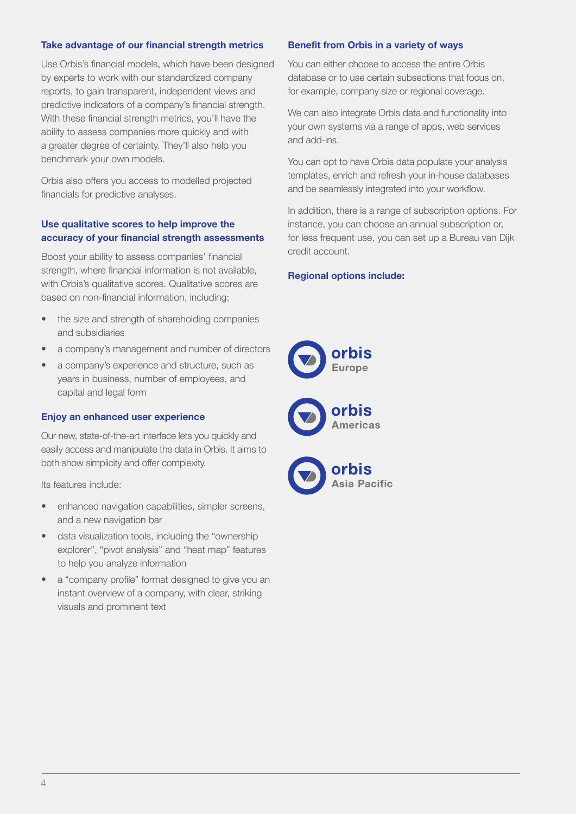#### Take advantage of our financial strength metrics

Use Orbis's financial models, which have been designed by experts to work with our standardized company reports, to gain transparent, independent views and predictive indicators of a company's financial strength. With these financial strength metrics, you'll have the ability to assess companies more quickly and with a greater degree of certainty. They'll also help you benchmark your own models.

Orbis also offers you access to modelled projected financials for predictive analyses.

## Use qualitative scores to help improve the accuracy of your financial strength assessments

Boost your ability to assess companies' financial strength, where financial information is not available, with Orbis's qualitative scores. Qualitative scores are based on non-financial information, including:

- the size and strength of shareholding companies and subsidiaries
- a company's management and number of directors
- a company's experience and structure, such as years in business, number of employees, and capital and legal form

#### Enjoy an enhanced user experience

Our new, state-of-the-art interface lets you quickly and easily access and manipulate the data in Orbis. It aims to both show simplicity and offer complexity.

Its features include:

- enhanced navigation capabilities, simpler screens, and a new navigation bar
- data visualization tools, including the "ownership explorer", "pivot analysis" and "heat map" features to help you analyze information
- a "company profile" format designed to give you an instant overview of a company, with clear, striking visuals and prominent text

#### Benefit from Orbis in a variety of ways

You can either choose to access the entire Orbis database or to use certain subsections that focus on, for example, company size or regional coverage.

We can also integrate Orbis data and functionality into your own systems via a range of apps, web services and add-ins.

You can opt to have Orbis data populate your analysis templates, enrich and refresh your in-house databases and be seamlessly integrated into your workflow.

In addition, there is a range of subscription options. For instance, you can choose an annual subscription or, for less frequent use, you can set up a Bureau van Dijk credit account.

#### Regional options include:

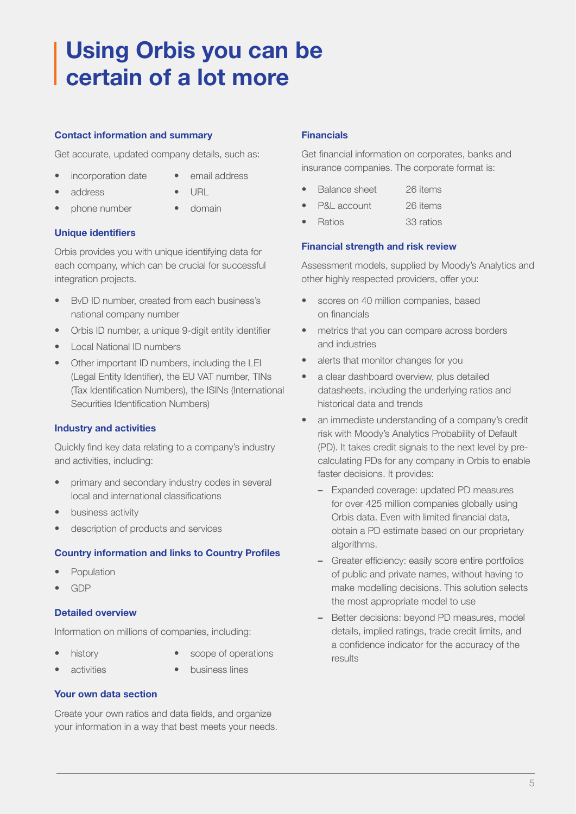# Using Orbis you can be certain of a lot more

# Contact information and summary

Get accurate, updated company details, such as:

- incorporation date
- email address
- address
- URL
- phone number
- domain

# Unique identifiers

Orbis provides you with unique identifying data for each company, which can be crucial for successful integration projects.

- BvD ID number, created from each business's national company number
- Orbis ID number, a unique 9-digit entity identifier
- Local National ID numbers
- Other important ID numbers, including the LEI (Legal Entity Identifier), the EU VAT number, TINs (Tax Identification Numbers), the ISINs (International Securities Identification Numbers)

# Industry and activities

Quickly find key data relating to a company's industry and activities, including:

- primary and secondary industry codes in several local and international classifications
- business activity
- description of products and services

# Country information and links to Country Profiles

- **Population**
- GDP

# Detailed overview

Information on millions of companies, including:

- history
- scope of operations
- activities
- business lines

# Your own data section

Create your own ratios and data fields, and organize your information in a way that best meets your needs.

## **Financials**

Get financial information on corporates, banks and insurance companies. The corporate format is:

- Balance sheet 26 items
- P&L account 26 items
- Ratios 33 ratios

### Financial strength and risk review

Assessment models, supplied by Moody's Analytics and other highly respected providers, offer you:

- scores on 40 million companies, based on financials
- metrics that you can compare across borders and industries
- alerts that monitor changes for you
- a clear dashboard overview, plus detailed datasheets, including the underlying ratios and historical data and trends
- an immediate understanding of a company's credit risk with Moody's Analytics Probability of Default (PD). It takes credit signals to the next level by precalculating PDs for any company in Orbis to enable faster decisions. It provides:
	- Expanded coverage: updated PD measures for over 425 million companies globally using Orbis data. Even with limited financial data, obtain a PD estimate based on our proprietary algorithms.
	- Greater efficiency: easily score entire portfolios of public and private names, without having to make modelling decisions. This solution selects the most appropriate model to use
	- Better decisions: beyond PD measures, model details, implied ratings, trade credit limits, and a confidence indicator for the accuracy of the results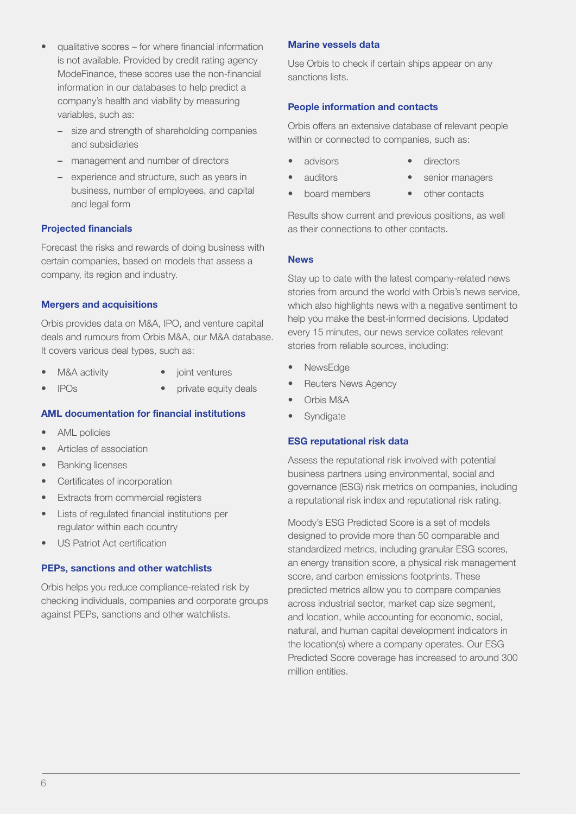- qualitative scores for where financial information is not available. Provided by credit rating agency ModeFinance, these scores use the non-financial information in our databases to help predict a company's health and viability by measuring variables, such as:
	- size and strength of shareholding companies and subsidiaries
	- management and number of directors
	- experience and structure, such as years in business, number of employees, and capital and legal form

# Projected financials

Forecast the risks and rewards of doing business with certain companies, based on models that assess a company, its region and industry.

### Mergers and acquisitions

Orbis provides data on M&A, IPO, and venture capital deals and rumours from Orbis M&A, our M&A database. It covers various deal types, such as:

- M&A activity joint ventures
- IPOs
	- private equity deals

# AML documentation for financial institutions

- AML policies
- Articles of association
- Banking licenses
- Certificates of incorporation
- Extracts from commercial registers
- Lists of regulated financial institutions per regulator within each country
- US Patriot Act certification

# PEPs, sanctions and other watchlists

Orbis helps you reduce compliance-related risk by checking individuals, companies and corporate groups against PEPs, sanctions and other watchlists.

#### Marine vessels data

Use Orbis to check if certain ships appear on any sanctions lists.

### People information and contacts

Orbis offers an extensive database of relevant people within or connected to companies, such as:

- advisors
- auditors
- directors senior managers
- board members
- 
- other contacts

Results show current and previous positions, as well as their connections to other contacts.

#### News

Stay up to date with the latest company-related news stories from around the world with Orbis's news service, which also highlights news with a negative sentiment to help you make the best-informed decisions. Updated every 15 minutes, our news service collates relevant stories from reliable sources, including:

- NewsEdge
- Reuters News Agency
- Orbis M&A
- **Syndigate**

#### ESG reputational risk data

Assess the reputational risk involved with potential business partners using environmental, social and governance (ESG) risk metrics on companies, including a reputational risk index and reputational risk rating.

Moody's ESG Predicted Score is a set of models designed to provide more than 50 comparable and standardized metrics, including granular ESG scores, an energy transition score, a physical risk management score, and carbon emissions footprints. These predicted metrics allow you to compare companies across industrial sector, market cap size segment, and location, while accounting for economic, social, natural, and human capital development indicators in the location(s) where a company operates. Our ESG Predicted Score coverage has increased to around 300 million entities.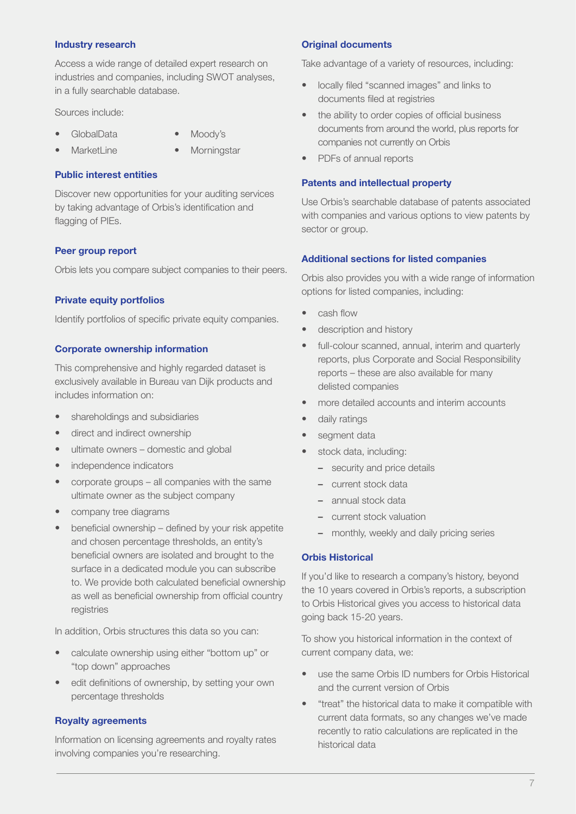#### Industry research

Access a wide range of detailed expert research on industries and companies, including SWOT analyses, in a fully searchable database.

Sources include:

- GlobalData
- Moody's
- MarketLine
- **Morningstar**

#### Public interest entities

Discover new opportunities for your auditing services by taking advantage of Orbis's identification and flagging of PIEs.

#### Peer group report

Orbis lets you compare subject companies to their peers.

#### Private equity portfolios

Identify portfolios of specific private equity companies.

#### Corporate ownership information

This comprehensive and highly regarded dataset is exclusively available in Bureau van Dijk products and includes information on:

- shareholdings and subsidiaries
- direct and indirect ownership
- ultimate owners domestic and global
- independence indicators
- corporate groups all companies with the same ultimate owner as the subject company
- company tree diagrams
- beneficial ownership defined by your risk appetite and chosen percentage thresholds, an entity's beneficial owners are isolated and brought to the surface in a dedicated module you can subscribe to. We provide both calculated beneficial ownership as well as beneficial ownership from official country registries

In addition, Orbis structures this data so you can:

- calculate ownership using either "bottom up" or "top down" approaches
- edit definitions of ownership, by setting your own percentage thresholds

#### Royalty agreements

Information on licensing agreements and royalty rates involving companies you're researching.

#### Original documents

Take advantage of a variety of resources, including:

- locally filed "scanned images" and links to documents filed at registries
- the ability to order copies of official business documents from around the world, plus reports for companies not currently on Orbis
- PDFs of annual reports

#### Patents and intellectual property

Use Orbis's searchable database of patents associated with companies and various options to view patents by sector or group.

#### Additional sections for listed companies

Orbis also provides you with a wide range of information options for listed companies, including:

- cash flow
- description and history
- full-colour scanned, annual, interim and quarterly reports, plus Corporate and Social Responsibility reports – these are also available for many delisted companies
- more detailed accounts and interim accounts
- daily ratings
- segment data
- stock data, including:
	- security and price details
	- current stock data
	- annual stock data
	- current stock valuation
	- monthly, weekly and daily pricing series

#### Orbis Historical

If you'd like to research a company's history, beyond the 10 years covered in Orbis's reports, a subscription to Orbis Historical gives you access to historical data going back 15-20 years.

To show you historical information in the context of current company data, we:

- use the same Orbis ID numbers for Orbis Historical and the current version of Orbis
- "treat" the historical data to make it compatible with current data formats, so any changes we've made recently to ratio calculations are replicated in the historical data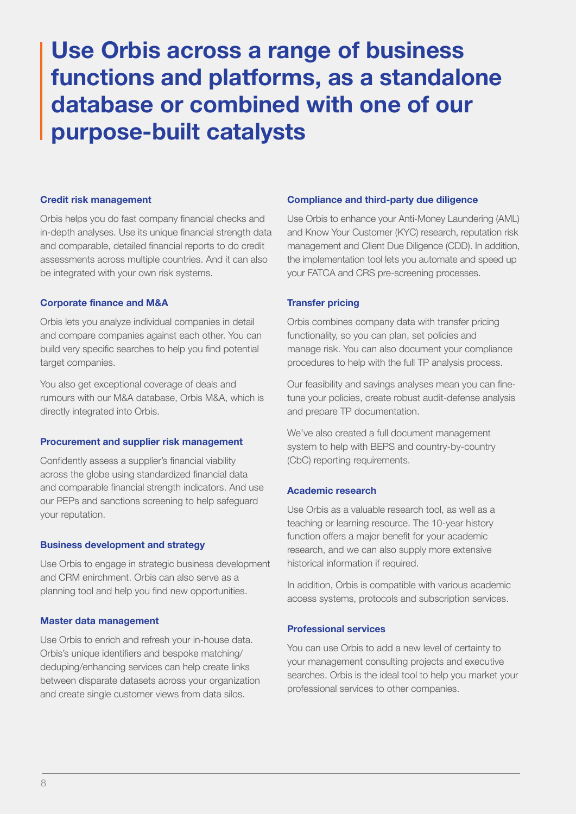# Use Orbis across a range of business functions and platforms, as a standalone database or combined with one of our purpose-built catalysts

#### Credit risk management

Orbis helps you do fast company financial checks and in-depth analyses. Use its unique financial strength data and comparable, detailed financial reports to do credit assessments across multiple countries. And it can also be integrated with your own risk systems.

#### Corporate finance and M&A

Orbis lets you analyze individual companies in detail and compare companies against each other. You can build very specific searches to help you find potential target companies.

You also get exceptional coverage of deals and rumours with our M&A database, Orbis M&A, which is directly integrated into Orbis.

#### Procurement and supplier risk management

Confidently assess a supplier's financial viability across the globe using standardized financial data and comparable financial strength indicators. And use our PEPs and sanctions screening to help safeguard your reputation.

#### Business development and strategy

Use Orbis to engage in strategic business development and CRM enirchment. Orbis can also serve as a planning tool and help you find new opportunities.

#### Master data management

Use Orbis to enrich and refresh your in-house data. Orbis's unique identifiers and bespoke matching/ deduping/enhancing services can help create links between disparate datasets across your organization and create single customer views from data silos.

#### Compliance and third-party due diligence

Use Orbis to enhance your Anti-Money Laundering (AML) and Know Your Customer (KYC) research, reputation risk management and Client Due Diligence (CDD). In addition, the implementation tool lets you automate and speed up your FATCA and CRS pre-screening processes.

#### Transfer pricing

Orbis combines company data with transfer pricing functionality, so you can plan, set policies and manage risk. You can also document your compliance procedures to help with the full TP analysis process.

Our feasibility and savings analyses mean you can finetune your policies, create robust audit-defense analysis and prepare TP documentation.

We've also created a full document management system to help with BEPS and country-by-country (CbC) reporting requirements.

#### Academic research

Use Orbis as a valuable research tool, as well as a teaching or learning resource. The 10-year history function offers a major benefit for your academic research, and we can also supply more extensive historical information if required.

In addition, Orbis is compatible with various academic access systems, protocols and subscription services.

#### Professional services

You can use Orbis to add a new level of certainty to your management consulting projects and executive searches. Orbis is the ideal tool to help you market your professional services to other companies.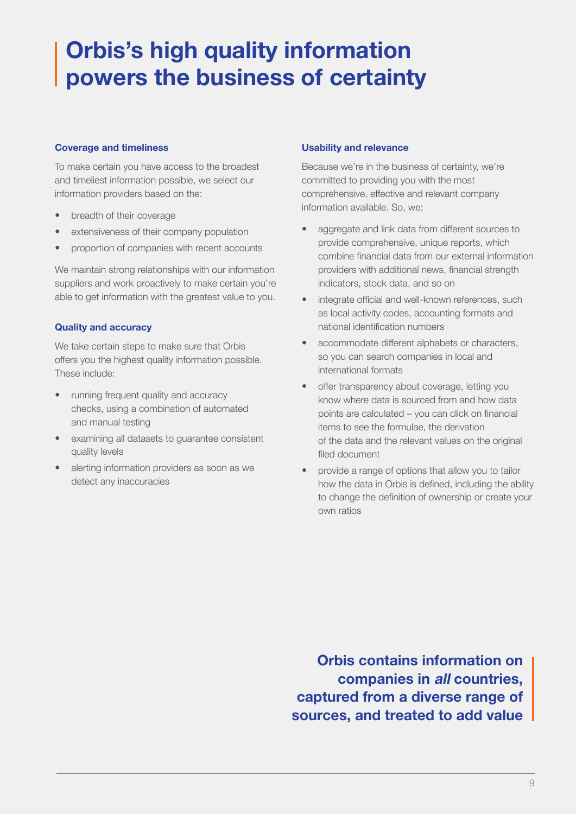# Orbis's high quality information powers the business of certainty

#### Coverage and timeliness

To make certain you have access to the broadest and timeliest information possible, we select our information providers based on the:

- breadth of their coverage
- extensiveness of their company population
- proportion of companies with recent accounts

We maintain strong relationships with our information suppliers and work proactively to make certain you're able to get information with the greatest value to you.

# Quality and accuracy

We take certain steps to make sure that Orbis offers you the highest quality information possible. These include:

- running frequent quality and accuracy checks, using a combination of automated and manual testing
- examining all datasets to guarantee consistent quality levels
- alerting information providers as soon as we detect any inaccuracies

### Usability and relevance

Because we're in the business of certainty, we're committed to providing you with the most comprehensive, effective and relevant company information available. So, we:

- aggregate and link data from different sources to provide comprehensive, unique reports, which combine financial data from our external information providers with additional news, financial strength indicators, stock data, and so on
- integrate official and well-known references, such as local activity codes, accounting formats and national identification numbers
- accommodate different alphabets or characters, so you can search companies in local and international formats
- offer transparency about coverage, letting you know where data is sourced from and how data points are calculated – you can click on financial items to see the formulae, the derivation of the data and the relevant values on the original filed document
- provide a range of options that allow you to tailor how the data in Orbis is defined, including the ability to change the definition of ownership or create your own ratios

Orbis contains information on companies in all countries, captured from a diverse range of sources, and treated to add value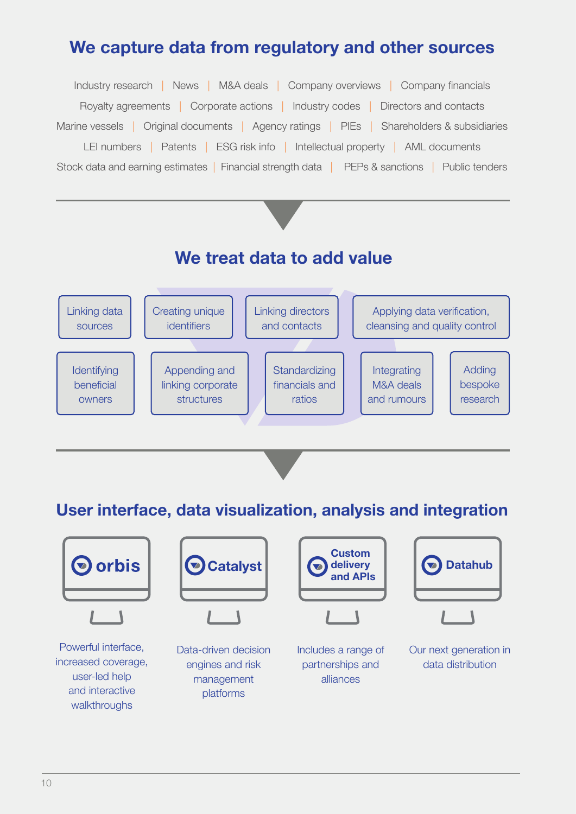# We capture data from regulatory and other sources

Industry research | News | M&A deals | Company overviews | Company financials Royalty agreements | Corporate actions | Industry codes | Directors and contacts Marine vessels | Original documents | Agency ratings | PIEs | Shareholders & subsidiaries LEI numbers | Patents | ESG risk info | Intellectual property | AML documents Stock data and earning estimates | Financial strength data | PEPs & sanctions | Public tenders

# We treat data to add value



User interface, data visualization, analysis and integration

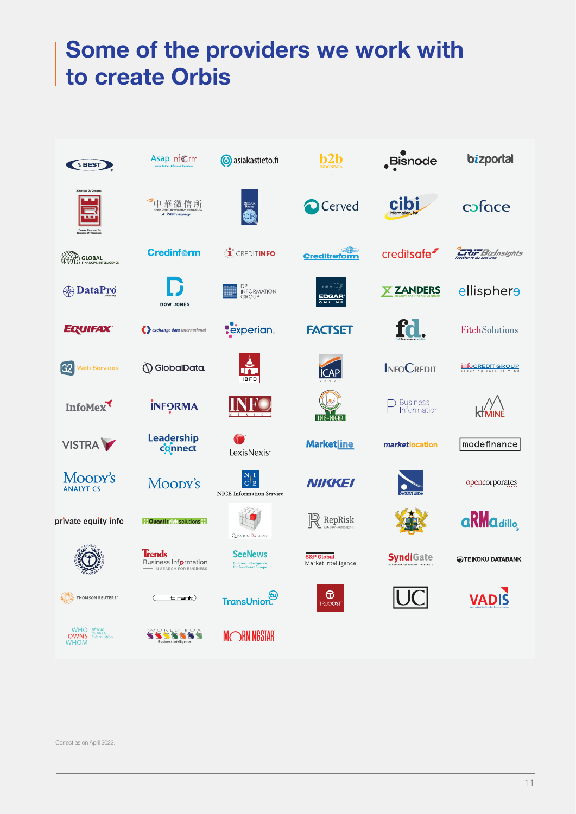# Some of the providers we work with Some of the providers we work with to create Orbis to create Orbis

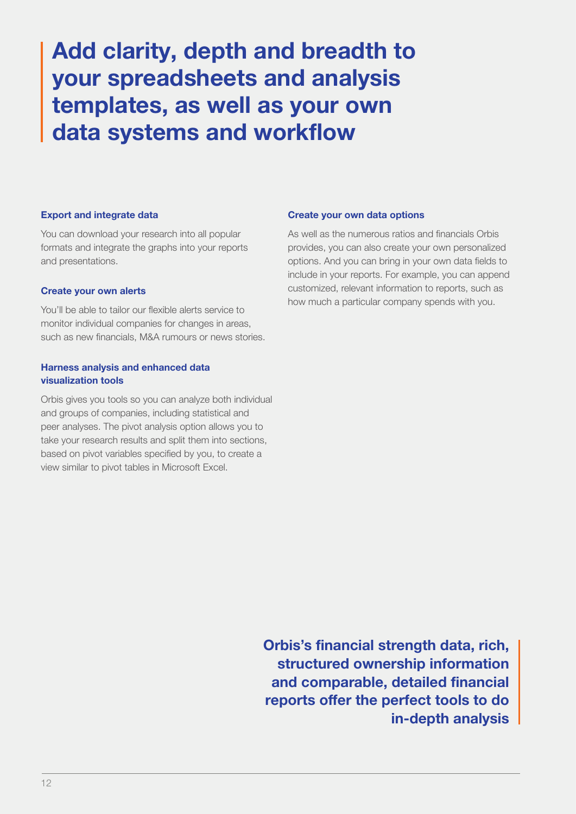# Add clarity, depth and breadth to your spreadsheets and analysis templates, as well as your own data systems and workflow

#### Export and integrate data

You can download your research into all popular formats and integrate the graphs into your reports and presentations.

#### Create your own alerts

You'll be able to tailor our flexible alerts service to monitor individual companies for changes in areas, such as new financials, M&A rumours or news stories.

### Harness analysis and enhanced data visualization tools

Orbis gives you tools so you can analyze both individual and groups of companies, including statistical and peer analyses. The pivot analysis option allows you to take your research results and split them into sections, based on pivot variables specified by you, to create a view similar to pivot tables in Microsoft Excel.

#### Create your own data options

As well as the numerous ratios and financials Orbis provides, you can also create your own personalized options. And you can bring in your own data fields to include in your reports. For example, you can append customized, relevant information to reports, such as how much a particular company spends with you.

Orbis's financial strength data, rich, structured ownership information and comparable, detailed financial reports offer the perfect tools to do in-depth analysis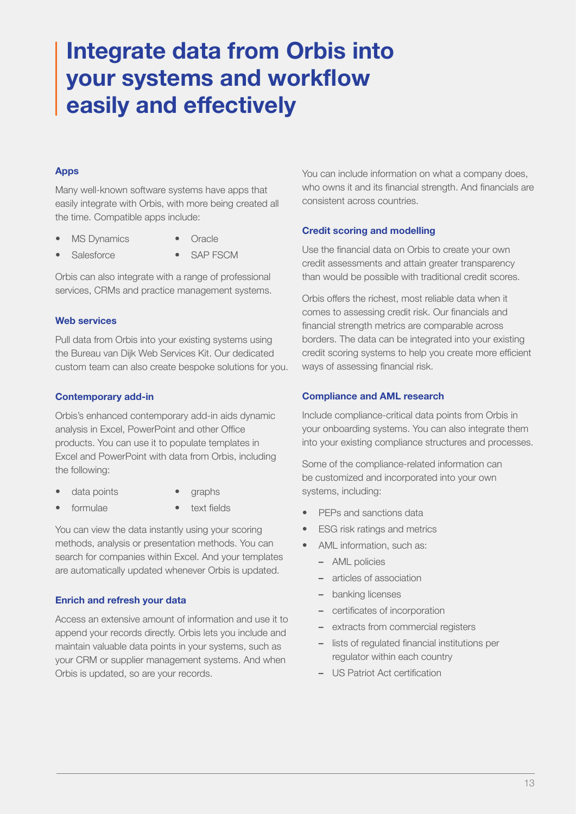# Integrate data from Orbis into your systems and workflow easily and effectively

# Apps

Many well-known software systems have apps that easily integrate with Orbis, with more being created all the time. Compatible apps include:

- MS Dynamics
- **Oracle**
- **Salesforce** SAP FSCM

Orbis can also integrate with a range of professional services, CRMs and practice management systems.

### Web services

Pull data from Orbis into your existing systems using the Bureau van Dijk Web Services Kit. Our dedicated custom team can also create bespoke solutions for you.

# Contemporary add-in

Orbis's enhanced contemporary add-in aids dynamic analysis in Excel, PowerPoint and other Office products. You can use it to populate templates in Excel and PowerPoint with data from Orbis, including the following:

- data points
- graphs
- formulae
- text fields

You can view the data instantly using your scoring methods, analysis or presentation methods. You can search for companies within Excel. And your templates are automatically updated whenever Orbis is updated.

# Enrich and refresh your data

Access an extensive amount of information and use it to append your records directly. Orbis lets you include and maintain valuable data points in your systems, such as your CRM or supplier management systems. And when Orbis is updated, so are your records.

You can include information on what a company does, who owns it and its financial strength. And financials are consistent across countries.

# Credit scoring and modelling

Use the financial data on Orbis to create your own credit assessments and attain greater transparency than would be possible with traditional credit scores.

Orbis offers the richest, most reliable data when it comes to assessing credit risk. Our financials and financial strength metrics are comparable across borders. The data can be integrated into your existing credit scoring systems to help you create more efficient ways of assessing financial risk.

### Compliance and AML research

Include compliance-critical data points from Orbis in your onboarding systems. You can also integrate them into your existing compliance structures and processes.

Some of the compliance-related information can be customized and incorporated into your own systems, including:

- PEPs and sanctions data
- **ESG** risk ratings and metrics
- AML information, such as:
	- AML policies
	- articles of association
	- banking licenses
	- certificates of incorporation
	- extracts from commercial registers
	- lists of regulated financial institutions per regulator within each country
	- US Patriot Act certification